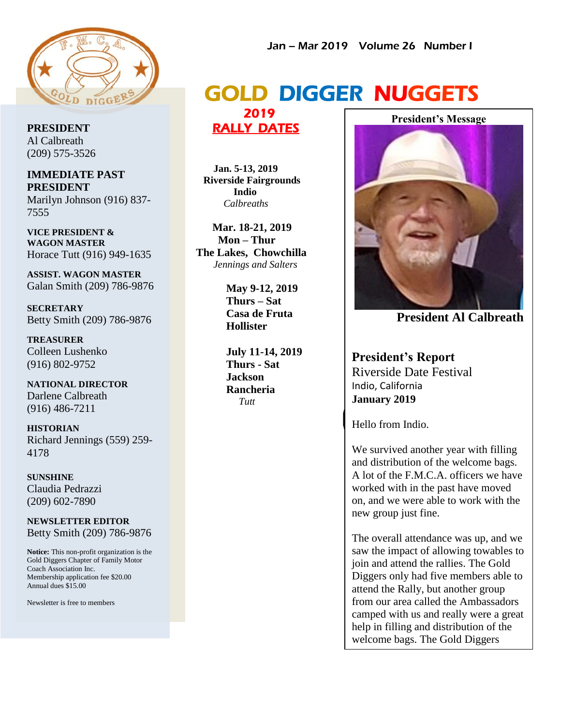

**PRESIDENT** Al Calbreath (209) 575-3526

**IMMEDIATE PAST PRESIDENT** Marilyn Johnson (916) 837- 7555

**VICE PRESIDENT & WAGON MASTER** Horace Tutt (916) 949-1635

**ASSIST. WAGON MASTER** Galan Smith (209) 786-9876

**SECRETARY** Betty Smith (209) 786-9876

**TREASURER** Colleen Lushenko (916) 802-9752

**NATIONAL DIRECTOR** Darlene Calbreath (916) 486-7211

**HISTORIAN** Richard Jennings (559) 259- 4178

**SUNSHINE** Claudia Pedrazzi (209) 602-7890

**NEWSLETTER EDITOR** Betty Smith (209) 786-9876

**Notice:** This non-profit organization is the Gold Diggers Chapter of Family Motor Coach Association Inc. Membership application fee \$20.00 Annual dues \$15.00

Newsletter is free to members

#### Jan – Mar 2019 Volume 26 Number I

## GOLD DIGGER NUGGETS

 2019 RALLY DATES

 **Jan. 5-13, 2019 Riverside Fairgrounds Indio**  *Calbreaths*

 **Mar. 18-21, 2019 Mon – Thur The Lakes, Chowchilla**  *Jennings and Salters*

> **May 9-12, 2019 Thurs – Sat Casa de Fruta Hollister**

**July 11-14, 2019 Thurs - Sat Jackson Rancheria**  *Tutt*

**President's Message**



 **President Al Calbreath**

**President's Report** Riverside Date Festival Indio, California **January 2019**

Hello from Indio.

We survived another year with filling and distribution of the welcome bags. A lot of the F.M.C.A. officers we have worked with in the past have moved on, and we were able to work with the new group just fine.

The overall attendance was up, and we saw the impact of allowing towables to join and attend the rallies. The Gold Diggers only had five members able to attend the Rally, but another group from our area called the Ambassadors camped with us and really were a great help in filling and distribution of the welcome bags. The Gold Diggers

location because of a lack of tables.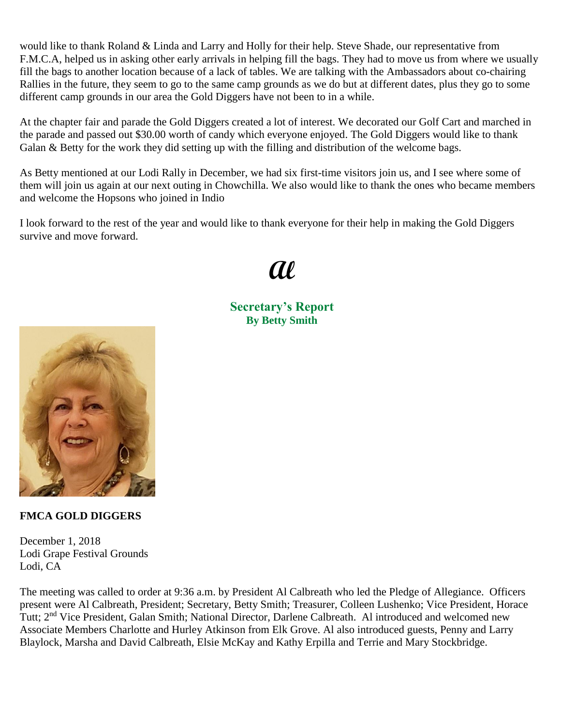would like to thank Roland & Linda and Larry and Holly for their help. Steve Shade, our representative from F.M.C.A, helped us in asking other early arrivals in helping fill the bags. They had to move us from where we usually fill the bags to another location because of a lack of tables. We are talking with the Ambassadors about co-chairing Rallies in the future, they seem to go to the same camp grounds as we do but at different dates, plus they go to some different camp grounds in our area the Gold Diggers have not been to in a while.

At the chapter fair and parade the Gold Diggers created a lot of interest. We decorated our Golf Cart and marched in the parade and passed out \$30.00 worth of candy which everyone enjoyed. The Gold Diggers would like to thank Galan & Betty for the work they did setting up with the filling and distribution of the welcome bags.

As Betty mentioned at our Lodi Rally in December, we had six first-time visitors join us, and I see where some of them will join us again at our next outing in Chowchilla. We also would like to thank the ones who became members and welcome the Hopsons who joined in Indio

I look forward to the rest of the year and would like to thank everyone for their help in making the Gold Diggers survive and move forward.

# **Al**

**Secretary's Report By Betty Smith**



### **FMCA GOLD DIGGERS**

December 1, 2018 Lodi Grape Festival Grounds Lodi, CA

The meeting was called to order at 9:36 a.m. by President Al Calbreath who led the Pledge of Allegiance. Officers present were Al Calbreath, President; Secretary, Betty Smith; Treasurer, Colleen Lushenko; Vice President, Horace Tutt; 2nd Vice President, Galan Smith; National Director, Darlene Calbreath. Al introduced and welcomed new Associate Members Charlotte and Hurley Atkinson from Elk Grove. Al also introduced guests, Penny and Larry Blaylock, Marsha and David Calbreath, Elsie McKay and Kathy Erpilla and Terrie and Mary Stockbridge.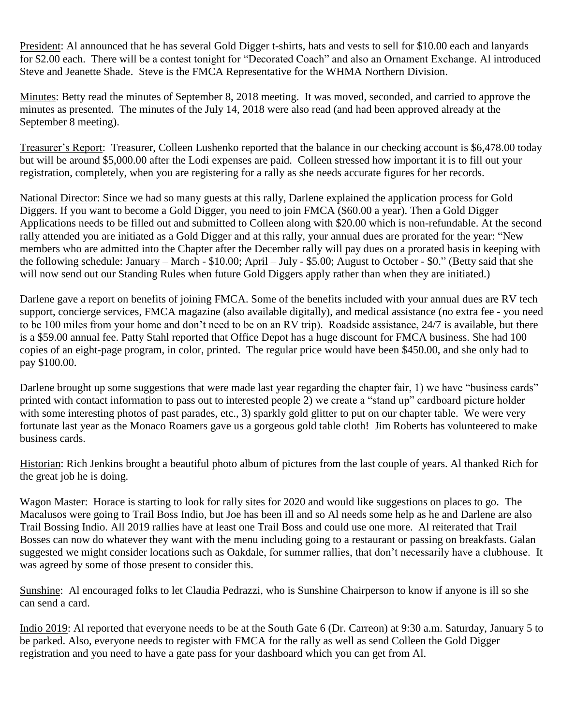President: Al announced that he has several Gold Digger t-shirts, hats and vests to sell for \$10.00 each and lanyards for \$2.00 each. There will be a contest tonight for "Decorated Coach" and also an Ornament Exchange. Al introduced Steve and Jeanette Shade. Steve is the FMCA Representative for the WHMA Northern Division.

Minutes: Betty read the minutes of September 8, 2018 meeting. It was moved, seconded, and carried to approve the minutes as presented. The minutes of the July 14, 2018 were also read (and had been approved already at the September 8 meeting).

Treasurer's Report: Treasurer, Colleen Lushenko reported that the balance in our checking account is \$6,478.00 today but will be around \$5,000.00 after the Lodi expenses are paid. Colleen stressed how important it is to fill out your registration, completely, when you are registering for a rally as she needs accurate figures for her records.

National Director: Since we had so many guests at this rally, Darlene explained the application process for Gold Diggers. If you want to become a Gold Digger, you need to join FMCA (\$60.00 a year). Then a Gold Digger Applications needs to be filled out and submitted to Colleen along with \$20.00 which is non-refundable. At the second rally attended you are initiated as a Gold Digger and at this rally, your annual dues are prorated for the year: "New members who are admitted into the Chapter after the December rally will pay dues on a prorated basis in keeping with the following schedule: January – March - \$10.00; April – July - \$5.00; August to October - \$0." (Betty said that she will now send out our Standing Rules when future Gold Diggers apply rather than when they are initiated.)

Darlene gave a report on benefits of joining FMCA. Some of the benefits included with your annual dues are RV tech support, concierge services, FMCA magazine (also available digitally), and medical assistance (no extra fee - you need to be 100 miles from your home and don't need to be on an RV trip). Roadside assistance, 24/7 is available, but there is a \$59.00 annual fee. Patty Stahl reported that Office Depot has a huge discount for FMCA business. She had 100 copies of an eight-page program, in color, printed. The regular price would have been \$450.00, and she only had to pay \$100.00.

Darlene brought up some suggestions that were made last year regarding the chapter fair, 1) we have "business cards" printed with contact information to pass out to interested people 2) we create a "stand up" cardboard picture holder with some interesting photos of past parades, etc., 3) sparkly gold glitter to put on our chapter table. We were very fortunate last year as the Monaco Roamers gave us a gorgeous gold table cloth! Jim Roberts has volunteered to make business cards.

Historian: Rich Jenkins brought a beautiful photo album of pictures from the last couple of years. Al thanked Rich for the great job he is doing.

Wagon Master: Horace is starting to look for rally sites for 2020 and would like suggestions on places to go. The Macalusos were going to Trail Boss Indio, but Joe has been ill and so Al needs some help as he and Darlene are also Trail Bossing Indio. All 2019 rallies have at least one Trail Boss and could use one more. Al reiterated that Trail Bosses can now do whatever they want with the menu including going to a restaurant or passing on breakfasts. Galan suggested we might consider locations such as Oakdale, for summer rallies, that don't necessarily have a clubhouse. It was agreed by some of those present to consider this.

Sunshine: Al encouraged folks to let Claudia Pedrazzi, who is Sunshine Chairperson to know if anyone is ill so she can send a card.

Indio 2019: Al reported that everyone needs to be at the South Gate 6 (Dr. Carreon) at 9:30 a.m. Saturday, January 5 to be parked. Also, everyone needs to register with FMCA for the rally as well as send Colleen the Gold Digger registration and you need to have a gate pass for your dashboard which you can get from Al.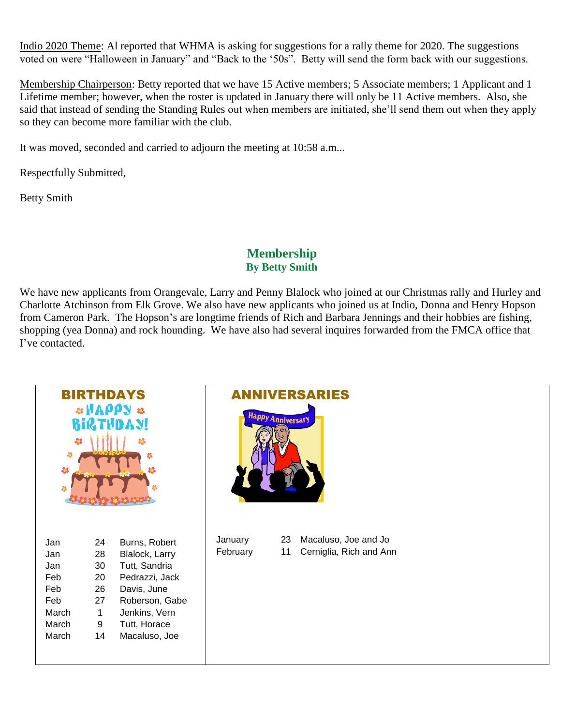Indio 2020 Theme: Al reported that WHMA is asking for suggestions for a rally theme for 2020. The suggestions voted on were "Halloween in January" and "Back to the '50s". Betty will send the form back with our suggestions.

Membership Chairperson: Betty reported that we have 15 Active members; 5 Associate members; 1 Applicant and 1 Lifetime member; however, when the roster is updated in January there will only be 11 Active members. Also, she said that instead of sending the Standing Rules out when members are initiated, she'll send them out when they apply so they can become more familiar with the club.

It was moved, seconded and carried to adjourn the meeting at 10:58 a.m...

Respectfully Submitted,

Betty Smith

### **Membership By Betty Smith**

We have new applicants from Orangevale, Larry and Penny Blalock who joined at our Christmas rally and Hurley and Charlotte Atchinson from Elk Grove. We also have new applicants who joined us at Indio, Donna and Henry Hopson from Cameron Park. The Hopson's are longtime friends of Rich and Barbara Jennings and their hobbies are fishing, shopping (yea Donna) and rock hounding. We have also had several inquires forwarded from the FMCA office that I've contacted.

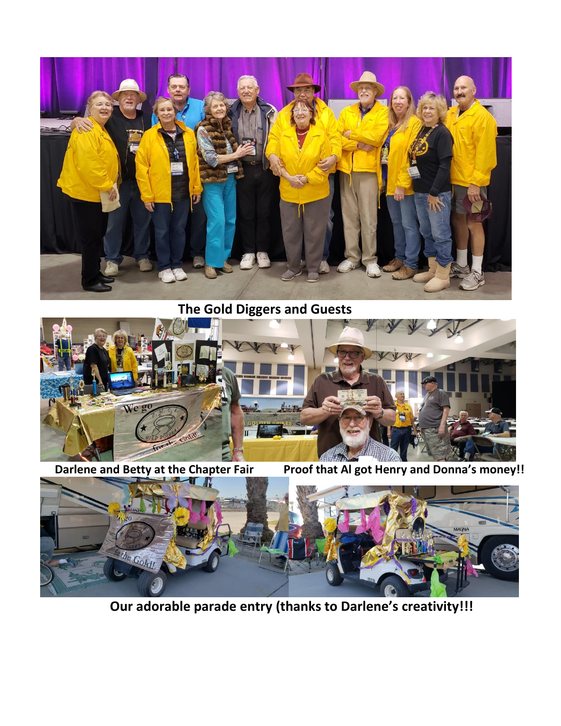

 **The Gold Diggers and Guests**



 **Darlene and Betty at the Chapter Fair Proof that Al got Henry and Donna's money!!**



 **Our adorable parade entry (thanks to Darlene's creativity!!!**